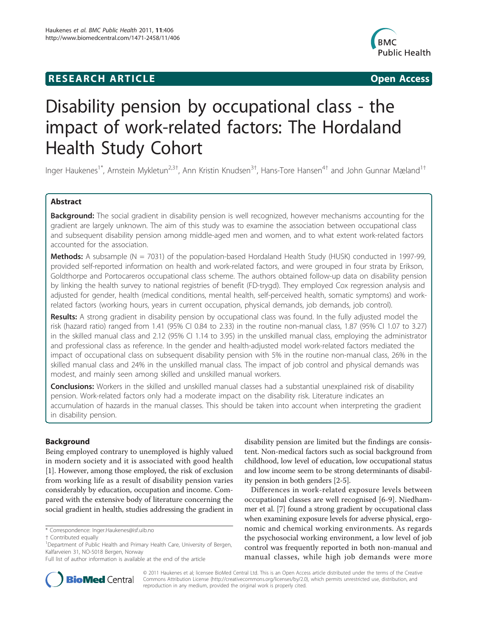# **RESEARCH ARTICLE Example 2018 12:30 THE Open Access**



# Disability pension by occupational class - the impact of work-related factors: The Hordaland Health Study Cohort

Inger Haukenes<sup>1\*</sup>, Arnstein Mykletun<sup>2,3†</sup>, Ann Kristin Knudsen<sup>3†</sup>, Hans-Tore Hansen<sup>4†</sup> and John Gunnar Mæland<sup>1†</sup>

# Abstract

Background: The social gradient in disability pension is well recognized, however mechanisms accounting for the gradient are largely unknown. The aim of this study was to examine the association between occupational class and subsequent disability pension among middle-aged men and women, and to what extent work-related factors accounted for the association.

Methods: A subsample (N = 7031) of the population-based Hordaland Health Study (HUSK) conducted in 1997-99, provided self-reported information on health and work-related factors, and were grouped in four strata by Erikson, Goldthorpe and Portocareros occupational class scheme. The authors obtained follow-up data on disability pension by linking the health survey to national registries of benefit (FD-trygd). They employed Cox regression analysis and adjusted for gender, health (medical conditions, mental health, self-perceived health, somatic symptoms) and workrelated factors (working hours, years in current occupation, physical demands, job demands, job control).

Results: A strong gradient in disability pension by occupational class was found. In the fully adjusted model the risk (hazard ratio) ranged from 1.41 (95% CI 0.84 to 2.33) in the routine non-manual class, 1.87 (95% CI 1.07 to 3.27) in the skilled manual class and 2.12 (95% CI 1.14 to 3.95) in the unskilled manual class, employing the administrator and professional class as reference. In the gender and health-adjusted model work-related factors mediated the impact of occupational class on subsequent disability pension with 5% in the routine non-manual class, 26% in the skilled manual class and 24% in the unskilled manual class. The impact of job control and physical demands was modest, and mainly seen among skilled and unskilled manual workers.

**Conclusions:** Workers in the skilled and unskilled manual classes had a substantial unexplained risk of disability pension. Work-related factors only had a moderate impact on the disability risk. Literature indicates an accumulation of hazards in the manual classes. This should be taken into account when interpreting the gradient in disability pension.

# Background

Being employed contrary to unemployed is highly valued in modern society and it is associated with good health [[1\]](#page-8-0). However, among those employed, the risk of exclusion from working life as a result of disability pension varies considerably by education, occupation and income. Compared with the extensive body of literature concerning the social gradient in health, studies addressing the gradient in

\* Correspondence: [Inger.Haukenes@isf.uib.no](mailto:Inger.Haukenes@isf.uib.no)

disability pension are limited but the findings are consistent. Non-medical factors such as social background from childhood, low level of education, low occupational status and low income seem to be strong determinants of disability pension in both genders [\[2-5](#page-8-0)].

Differences in work-related exposure levels between occupational classes are well recognised [\[6](#page-8-0)-[9\]](#page-8-0). Niedhammer et al. [\[7\]](#page-8-0) found a strong gradient by occupational class when examining exposure levels for adverse physical, ergonomic and chemical working environments. As regards the psychosocial working environment, a low level of job control was frequently reported in both non-manual and manual classes, while high job demands were more



© 2011 Haukenes et al; licensee BioMed Central Ltd. This is an Open Access article distributed under the terms of the Creative Commons Attribution License [\(http://creativecommons.org/licenses/by/2.0](http://creativecommons.org/licenses/by/2.0)), which permits unrestricted use, distribution, and reproduction in any medium, provided the original work is properly cited.

<sup>†</sup> Contributed equally <sup>1</sup>

<sup>&</sup>lt;sup>1</sup>Department of Public Health and Primary Health Care, University of Bergen, Kalfarveien 31, NO-5018 Bergen, Norway

Full list of author information is available at the end of the article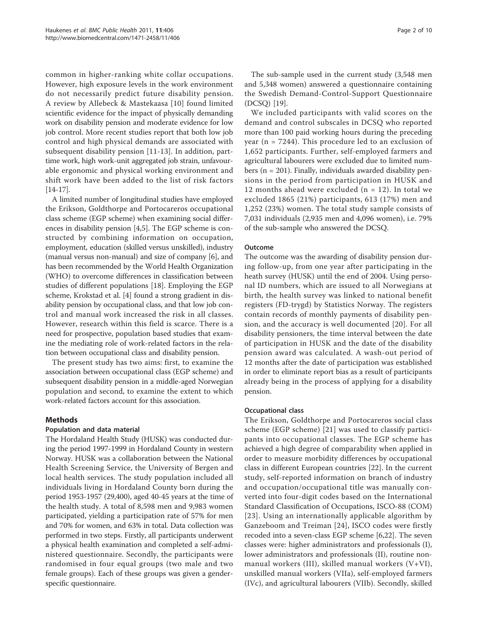common in higher-ranking white collar occupations. However, high exposure levels in the work environment do not necessarily predict future disability pension. A review by Allebeck & Mastekaasa [[10](#page-8-0)] found limited scientific evidence for the impact of physically demanding work on disability pension and moderate evidence for low job control. More recent studies report that both low job control and high physical demands are associated with subsequent disability pension [[11](#page-8-0)-[13\]](#page-8-0). In addition, parttime work, high work-unit aggregated job strain, unfavourable ergonomic and physical working environment and shift work have been added to the list of risk factors [[14](#page-8-0)-[17](#page-8-0)].

A limited number of longitudinal studies have employed the Erikson, Goldthorpe and Portocareros occupational class scheme (EGP scheme) when examining social differences in disability pension [[4](#page-8-0),[5](#page-8-0)]. The EGP scheme is constructed by combining information on occupation, employment, education (skilled versus unskilled), industry (manual versus non-manual) and size of company [[6\]](#page-8-0), and has been recommended by the World Health Organization (WHO) to overcome differences in classification between studies of different populations [\[18](#page-8-0)]. Employing the EGP scheme, Krokstad et al. [\[4](#page-8-0)] found a strong gradient in disability pension by occupational class, and that low job control and manual work increased the risk in all classes. However, research within this field is scarce. There is a need for prospective, population based studies that examine the mediating role of work-related factors in the relation between occupational class and disability pension.

The present study has two aims: first, to examine the association between occupational class (EGP scheme) and subsequent disability pension in a middle-aged Norwegian population and second, to examine the extent to which work-related factors account for this association.

# Methods

# Population and data material

The Hordaland Health Study (HUSK) was conducted during the period 1997-1999 in Hordaland County in western Norway. HUSK was a collaboration between the National Health Screening Service, the University of Bergen and local health services. The study population included all individuals living in Hordaland County born during the period 1953-1957 (29,400), aged 40-45 years at the time of the health study. A total of 8,598 men and 9,983 women participated, yielding a participation rate of 57% for men and 70% for women, and 63% in total. Data collection was performed in two steps. Firstly, all participants underwent a physical health examination and completed a self-administered questionnaire. Secondly, the participants were randomised in four equal groups (two male and two female groups). Each of these groups was given a genderspecific questionnaire.

The sub-sample used in the current study (3,548 men and 5,348 women) answered a questionnaire containing the Swedish Demand-Control-Support Questionnaire (DCSQ) [[19\]](#page-8-0).

We included participants with valid scores on the demand and control subscales in DCSQ who reported more than 100 paid working hours during the preceding year (n = 7244). This procedure led to an exclusion of 1,652 participants. Further, self-employed farmers and agricultural labourers were excluded due to limited numbers (n = 201). Finally, individuals awarded disability pensions in the period from participation in HUSK and 12 months ahead were excluded  $(n = 12)$ . In total we excluded 1865 (21%) participants, 613 (17%) men and 1,252 (23%) women. The total study sample consists of 7,031 individuals (2,935 men and 4,096 women), i.e. 79% of the sub-sample who answered the DCSQ.

# Outcome

The outcome was the awarding of disability pension during follow-up, from one year after participating in the heath survey (HUSK) until the end of 2004. Using personal ID numbers, which are issued to all Norwegians at birth, the health survey was linked to national benefit registers (FD-trygd) by Statistics Norway. The registers contain records of monthly payments of disability pension, and the accuracy is well documented [[20](#page-8-0)]. For all disability pensioners, the time interval between the date of participation in HUSK and the date of the disability pension award was calculated. A wash-out period of 12 months after the date of participation was established in order to eliminate report bias as a result of participants already being in the process of applying for a disability pension.

# Occupational class

The Erikson, Goldthorpe and Portocareros social class scheme (EGP scheme) [[21\]](#page-9-0) was used to classify participants into occupational classes. The EGP scheme has achieved a high degree of comparability when applied in order to measure morbidity differences by occupational class in different European countries [\[22](#page-9-0)]. In the current study, self-reported information on branch of industry and occupation/occupational title was manually converted into four-digit codes based on the International Standard Classification of Occupations, ISCO-88 (COM) [[23\]](#page-9-0). Using an internationally applicable algorithm by Ganzeboom and Treiman [[24\]](#page-9-0), ISCO codes were firstly recoded into a seven-class EGP scheme [[6,](#page-8-0)[22\]](#page-9-0). The seven classes were: higher administrators and professionals (I), lower administrators and professionals (II), routine nonmanual workers (III), skilled manual workers (V+VI), unskilled manual workers (VIIa), self-employed farmers (IVc), and agricultural labourers (VIIb). Secondly, skilled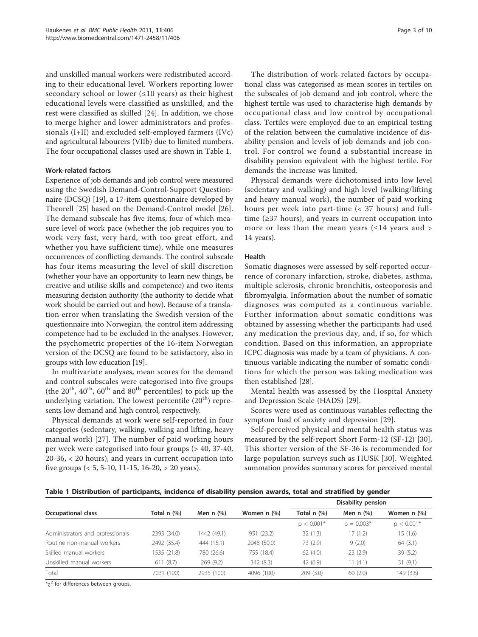<span id="page-2-0"></span>and unskilled manual workers were redistributed according to their educational level. Workers reporting lower secondary school or lower (≤10 years) as their highest educational levels were classified as unskilled, and the rest were classified as skilled [[24\]](#page-9-0). In addition, we chose to merge higher and lower administrators and professionals (I+II) and excluded self-employed farmers (IVc) and agricultural labourers (VIIb) due to limited numbers. The four occupational classes used are shown in Table 1.

# Work-related factors

Experience of job demands and job control were measured using the Swedish Demand-Control-Support Questionnaire (DCSQ) [[19\]](#page-8-0), a 17-item questionnaire developed by Theorell [[25\]](#page-9-0) based on the Demand-Control model [\[26](#page-9-0)]. The demand subscale has five items, four of which measure level of work pace (whether the job requires you to work very fast, very hard, with too great effort, and whether you have sufficient time), while one measures occurrences of conflicting demands. The control subscale has four items measuring the level of skill discretion (whether your have an opportunity to learn new things, be creative and utilise skills and competence) and two items measuring decision authority (the authority to decide what work should be carried out and how). Because of a translation error when translating the Swedish version of the questionnaire into Norwegian, the control item addressing competence had to be excluded in the analyses. However, the psychometric properties of the 16-item Norwegian version of the DCSQ are found to be satisfactory, also in groups with low education [\[19\]](#page-8-0).

In multivariate analyses, mean scores for the demand and control subscales were categorised into five groups (the  $20^{th}$ ,  $40^{th}$ ,  $60^{th}$  and  $80^{th}$  percentiles) to pick up the underlying variation. The lowest percentile  $(20<sup>th</sup>)$  represents low demand and high control, respectively.

Physical demands at work were self-reported in four categories (sedentary, walking, walking and lifting, heavy manual work) [[27](#page-9-0)]. The number of paid working hours per week were categorised into four groups (> 40, 37-40, 20-36, < 20 hours), and years in current occupation into five groups  $($  < 5, 5-10, 11-15, 16-20, > 20 years).

The distribution of work-related factors by occupational class was categorised as mean scores in tertiles on the subscales of job demand and job control, where the highest tertile was used to characterise high demands by occupational class and low control by occupational class. Tertiles were employed due to an empirical testing of the relation between the cumulative incidence of disability pension and levels of job demands and job control. For control we found a substantial increase in disability pension equivalent with the highest tertile. For demands the increase was limited.

Physical demands were dichotomised into low level (sedentary and walking) and high level (walking/lifting and heavy manual work), the number of paid working hours per week into part-time (< 37 hours) and fulltime  $(\geq 37$  hours), and years in current occupation into more or less than the mean years  $(\leq 14$  years and > 14 years).

# Health

Somatic diagnoses were assessed by self-reported occurrence of coronary infarction, stroke, diabetes, asthma, multiple sclerosis, chronic bronchitis, osteoporosis and fibromyalgia. Information about the number of somatic diagnoses was computed as a continuous variable. Further information about somatic conditions was obtained by assessing whether the participants had used any medication the previous day, and, if so, for which condition. Based on this information, an appropriate ICPC diagnosis was made by a team of physicians. A continuous variable indicating the number of somatic conditions for which the person was taking medication was then established [[28\]](#page-9-0).

Mental health was assessed by the Hospital Anxiety and Depression Scale (HADS) [[29](#page-9-0)].

Scores were used as continuous variables reflecting the symptom load of anxiety and depression [[29](#page-9-0)].

Self-perceived physical and mental health status was measured by the self-report Short Form-12 (SF-12) [\[30](#page-9-0)]. This shorter version of the SF-36 is recommended for large population surveys such as HUSK [[30\]](#page-9-0). Weighted summation provides summary scores for perceived mental

Table 1 Distribution of participants, incidence of disability pension awards, total and stratified by gender

|                                  |             |             |             |              | <b>Disability pension</b> |              |  |
|----------------------------------|-------------|-------------|-------------|--------------|---------------------------|--------------|--|
| Occupational class               | Total n (%) | Men $n$ $%$ | Women n (%) | Total n (%)  | Men $n$ $(\%)$            | Women n (%)  |  |
|                                  |             |             |             | $p < 0.001*$ | $p = 0.003*$              | $p < 0.001*$ |  |
| Administrators and professionals | 2393 (34.0) | 1442 (49.1) | 951 (23.2)  | 32(1.3)      | 17 (1.2)                  | 15 (1.6)     |  |
| Routine non-manual workers       | 2492 (35.4) | 444 (15.1)  | 2048 (50.0) | 73 (2.9)     | 9(2.0)                    | 64(3.1)      |  |
| Skilled manual workers           | 1535 (21.8) | 780 (26.6)  | 755 (18.4)  | 62(4.0)      | 23(2.9)                   | 39(5.2)      |  |
| Unskilled manual workers         | 611(8.7)    | 269(9.2)    | 342 (8.3)   | 42(6.9)      | 11(4.1)                   | 31(9.1)      |  |
| Total                            | 7031 (100)  | 2935 (100)  | 4096 (100)  | 209(3.0)     | 60(2.0)                   | 149 (3.6)    |  |

 $*\chi^2$  for differences between groups.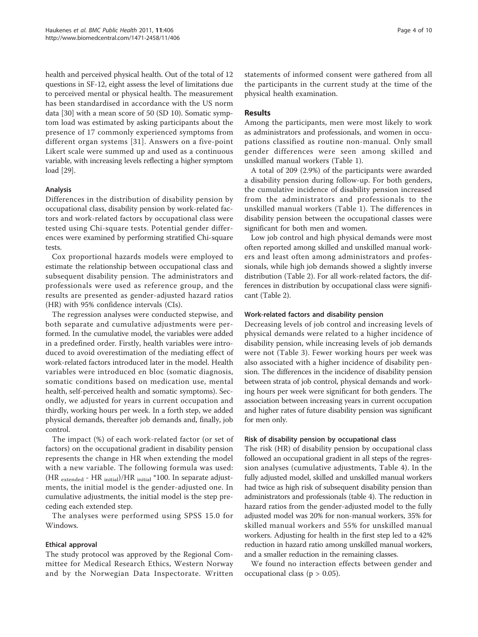health and perceived physical health. Out of the total of 12 questions in SF-12, eight assess the level of limitations due to perceived mental or physical health. The measurement has been standardised in accordance with the US norm data [[30](#page-9-0)] with a mean score of 50 (SD 10). Somatic symptom load was estimated by asking participants about the presence of 17 commonly experienced symptoms from different organ systems [[31](#page-9-0)]. Answers on a five-point Likert scale were summed up and used as a continuous variable, with increasing levels reflecting a higher symptom load [\[29\]](#page-9-0).

# Analysis

Differences in the distribution of disability pension by occupational class, disability pension by work-related factors and work-related factors by occupational class were tested using Chi-square tests. Potential gender differences were examined by performing stratified Chi-square tests.

Cox proportional hazards models were employed to estimate the relationship between occupational class and subsequent disability pension. The administrators and professionals were used as reference group, and the results are presented as gender-adjusted hazard ratios (HR) with 95% confidence intervals (CIs).

The regression analyses were conducted stepwise, and both separate and cumulative adjustments were performed. In the cumulative model, the variables were added in a predefined order. Firstly, health variables were introduced to avoid overestimation of the mediating effect of work-related factors introduced later in the model. Health variables were introduced en bloc (somatic diagnosis, somatic conditions based on medication use, mental health, self-perceived health and somatic symptoms). Secondly, we adjusted for years in current occupation and thirdly, working hours per week. In a forth step, we added physical demands, thereafter job demands and, finally, job control.

The impact (%) of each work-related factor (or set of factors) on the occupational gradient in disability pension represents the change in HR when extending the model with a new variable. The following formula was used: (HR extended - HR initial)/HR initial \*100. In separate adjustments, the initial model is the gender-adjusted one. In cumulative adjustments, the initial model is the step preceding each extended step.

The analyses were performed using SPSS 15.0 for Windows.

#### Ethical approval

The study protocol was approved by the Regional Committee for Medical Research Ethics, Western Norway and by the Norwegian Data Inspectorate. Written statements of informed consent were gathered from all the participants in the current study at the time of the physical health examination.

# Results

Among the participants, men were most likely to work as administrators and professionals, and women in occupations classified as routine non-manual. Only small gender differences were seen among skilled and unskilled manual workers (Table [1](#page-2-0)).

A total of 209 (2.9%) of the participants were awarded a disability pension during follow-up. For both genders, the cumulative incidence of disability pension increased from the administrators and professionals to the unskilled manual workers (Table [1\)](#page-2-0). The differences in disability pension between the occupational classes were significant for both men and women.

Low job control and high physical demands were most often reported among skilled and unskilled manual workers and least often among administrators and professionals, while high job demands showed a slightly inverse distribution (Table [2](#page-4-0)). For all work-related factors, the differences in distribution by occupational class were significant (Table [2](#page-4-0)).

#### Work-related factors and disability pension

Decreasing levels of job control and increasing levels of physical demands were related to a higher incidence of disability pension, while increasing levels of job demands were not (Table [3](#page-5-0)). Fewer working hours per week was also associated with a higher incidence of disability pension. The differences in the incidence of disability pension between strata of job control, physical demands and working hours per week were significant for both genders. The association between increasing years in current occupation and higher rates of future disability pension was significant for men only.

#### Risk of disability pension by occupational class

The risk (HR) of disability pension by occupational class followed an occupational gradient in all steps of the regression analyses (cumulative adjustments, Table [4](#page-6-0)). In the fully adjusted model, skilled and unskilled manual workers had twice as high risk of subsequent disability pension than administrators and professionals (table [4\)](#page-6-0). The reduction in hazard ratios from the gender-adjusted model to the fully adjusted model was 20% for non-manual workers, 35% for skilled manual workers and 55% for unskilled manual workers. Adjusting for health in the first step led to a 42% reduction in hazard ratio among unskilled manual workers, and a smaller reduction in the remaining classes.

We found no interaction effects between gender and occupational class ( $p > 0.05$ ).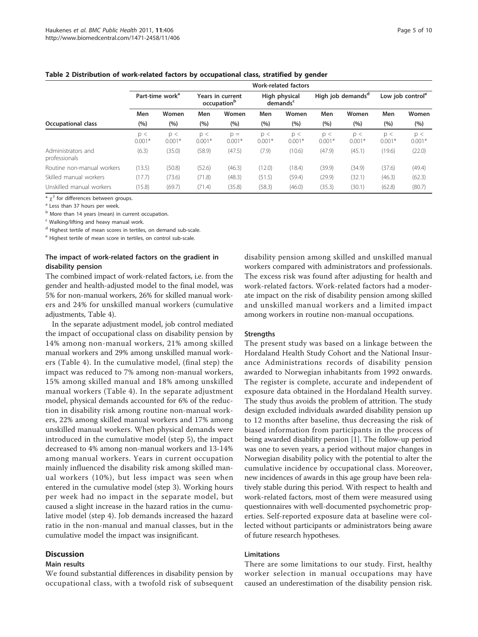|                                     |                             | <b>Work-related factors</b> |                                                    |                   |                                       |                 |                               |                 |                              |                 |  |
|-------------------------------------|-----------------------------|-----------------------------|----------------------------------------------------|-------------------|---------------------------------------|-----------------|-------------------------------|-----------------|------------------------------|-----------------|--|
|                                     | Part-time work <sup>a</sup> |                             | <b>Years in current</b><br>occupation <sup>b</sup> |                   | High physical<br>demands <sup>c</sup> |                 | High job demands <sup>d</sup> |                 | Low job control <sup>e</sup> |                 |  |
|                                     | Men                         | Women                       | Men                                                | Women             | Men                                   | Women           | Men                           | Women           | Men                          | Women           |  |
| <b>Occupational class</b>           | (%)                         | (%)                         | (%)                                                | (%)               | (%)                                   | (%)             | (%)                           | (%)             | (%)                          | (%)             |  |
|                                     | p <<br>$0.001*$             | p <<br>$0.001*$             | p <<br>$0.001*$                                    | $p =$<br>$0.001*$ | p <<br>$0.001*$                       | p <<br>$0.001*$ | p <<br>$0.001*$               | p <<br>$0.001*$ | p <<br>$0.001*$              | p <<br>$0.001*$ |  |
| Administrators and<br>professionals | (6.3)                       | (35.0)                      | (58.9)                                             | (47.5)            | (7.9)                                 | (10.6)          | (47.9)                        | (45.1)          | (19.6)                       | (22.0)          |  |
| Routine non-manual workers          | (13.5)                      | (50.8)                      | (52.6)                                             | (46.3)            | (12.0)                                | (18.4)          | (39.9)                        | (34.9)          | (37.6)                       | (49.4)          |  |
| Skilled manual workers              | (17.7)                      | (73.6)                      | (71.8)                                             | (48.3)            | (51.5)                                | (59.4)          | (29.9)                        | (32.1)          | (46.3)                       | (62.3)          |  |
| Unskilled manual workers            | (15.8)                      | (69.7)                      | (71.4)                                             | (35.8)            | (58.3)                                | (46.0)          | (35.3)                        | (30.1)          | (62.8)                       | (80.7)          |  |

# <span id="page-4-0"></span>Table 2 Distribution of work-related factors by occupational class, stratified by gender

 $*\chi^2$  for differences between groups.

<sup>a</sup> Less than 37 hours per week.

<sup>b</sup> More than 14 years (mean) in current occupation.

<sup>c</sup> Walking/lifting and heavy manual work.

<sup>d</sup> Highest tertile of mean scores in tertiles, on demand sub-scale.

<sup>e</sup> Highest tertile of mean score in tertiles, on control sub-scale.

# The impact of work-related factors on the gradient in disability pension

The combined impact of work-related factors, i.e. from the gender and health-adjusted model to the final model, was 5% for non-manual workers, 26% for skilled manual workers and 24% for unskilled manual workers (cumulative adjustments, Table [4](#page-6-0)).

In the separate adjustment model, job control mediated the impact of occupational class on disability pension by 14% among non-manual workers, 21% among skilled manual workers and 29% among unskilled manual workers (Table [4](#page-6-0)). In the cumulative model, (final step) the impact was reduced to 7% among non-manual workers, 15% among skilled manual and 18% among unskilled manual workers (Table [4](#page-6-0)). In the separate adjustment model, physical demands accounted for 6% of the reduction in disability risk among routine non-manual workers, 22% among skilled manual workers and 17% among unskilled manual workers. When physical demands were introduced in the cumulative model (step 5), the impact decreased to 4% among non-manual workers and 13-14% among manual workers. Years in current occupation mainly influenced the disability risk among skilled manual workers (10%), but less impact was seen when entered in the cumulative model (step 3). Working hours per week had no impact in the separate model, but caused a slight increase in the hazard ratios in the cumulative model (step 4). Job demands increased the hazard ratio in the non-manual and manual classes, but in the cumulative model the impact was insignificant.

# **Discussion**

# Main results

We found substantial differences in disability pension by occupational class, with a twofold risk of subsequent disability pension among skilled and unskilled manual workers compared with administrators and professionals. The excess risk was found after adjusting for health and work-related factors. Work-related factors had a moderate impact on the risk of disability pension among skilled and unskilled manual workers and a limited impact among workers in routine non-manual occupations.

#### **Strengths**

The present study was based on a linkage between the Hordaland Health Study Cohort and the National Insurance Administrations records of disability pension awarded to Norwegian inhabitants from 1992 onwards. The register is complete, accurate and independent of exposure data obtained in the Hordaland Health survey. The study thus avoids the problem of attrition. The study design excluded individuals awarded disability pension up to 12 months after baseline, thus decreasing the risk of biased information from participants in the process of being awarded disability pension [[1](#page-8-0)]. The follow-up period was one to seven years, a period without major changes in Norwegian disability policy with the potential to alter the cumulative incidence by occupational class. Moreover, new incidences of awards in this age group have been relatively stable during this period. With respect to health and work-related factors, most of them were measured using questionnaires with well-documented psychometric properties. Self-reported exposure data at baseline were collected without participants or administrators being aware of future research hypotheses.

# Limitations

There are some limitations to our study. First, healthy worker selection in manual occupations may have caused an underestimation of the disability pension risk.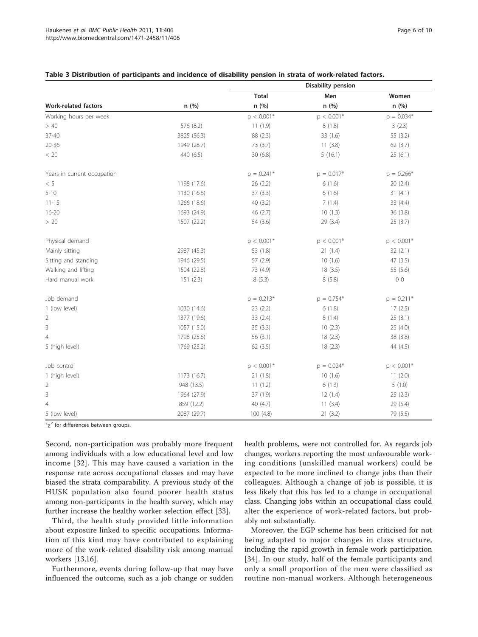|                             |             | Disability pension |              |                |  |  |  |  |
|-----------------------------|-------------|--------------------|--------------|----------------|--|--|--|--|
|                             |             | <b>Total</b>       | Men          | Women<br>n (%) |  |  |  |  |
| <b>Work-related factors</b> | n(%)        | n (%)              | n(%)         |                |  |  |  |  |
| Working hours per week      |             | $p < 0.001*$       | $p < 0.001*$ | $p = 0.034*$   |  |  |  |  |
| > 40                        | 576 (8.2)   | 11(1.9)            | 8(1.8)       | 3(2.3)         |  |  |  |  |
| 37-40                       | 3825 (56.3) | 88 (2.3)           | 33 (1.6)     | 55 (3.2)       |  |  |  |  |
| 20-36                       | 1949 (28.7) | 73 (3.7)           | 11(3.8)      | 62(3.7)        |  |  |  |  |
| < 20                        | 440 (6.5)   | 30(6.8)            | 5(16.1)      | 25(6.1)        |  |  |  |  |
| Years in current occupation |             | $p = 0.241*$       | $p = 0.017*$ | $p = 0.266*$   |  |  |  |  |
| < 5                         | 1198 (17.6) | 26(2.2)            | 6(1.6)       | 20(2.4)        |  |  |  |  |
| $5 - 10$                    | 1130 (16.6) | 37(3.3)            | 6(1.6)       | 31(4.1)        |  |  |  |  |
| $11 - 15$                   | 1266 (18.6) | 40(3.2)            | 7(1.4)       | 33 (4.4)       |  |  |  |  |
| $16 - 20$                   | 1693 (24.9) | 46(2.7)            | 10(1.3)      | 36(3.8)        |  |  |  |  |
| > 20                        | 1507 (22.2) | 54 (3.6)           | 29 (3.4)     | 25(3.7)        |  |  |  |  |
| Physical demand             |             | $p < 0.001*$       | $p < 0.001*$ | $p < 0.001*$   |  |  |  |  |
| Mainly sitting              | 2987 (45.3) | 53 (1.8)           | 21(1.4)      | 32(2.1)        |  |  |  |  |
| Sitting and standing        | 1946 (29.5) | 57 (2.9)           | 10(1.6)      | 47(3.5)        |  |  |  |  |
| Walking and lifting         | 1504 (22.8) | 73 (4.9)           | 18(3.5)      | 55 (5.6)       |  |  |  |  |
| Hard manual work            | 151(2.3)    | 8(5.3)             | 8(5.8)       | 0 <sub>0</sub> |  |  |  |  |
| Job demand                  |             | $p = 0.213*$       | $p = 0.754*$ | $p = 0.211*$   |  |  |  |  |
| 1 (low level)               | 1030 (14.6) | 23(2.2)            | 6(1.8)       | 17(2.5)        |  |  |  |  |
| 2                           | 1377 (19.6) | 33(2.4)            | 8(1.4)       | 25(3.1)        |  |  |  |  |
| 3                           | 1057 (15.0) | 35(3.3)            | 10(2.3)      | 25(4.0)        |  |  |  |  |
| 4                           | 1798 (25.6) | 56 $(3.1)$         | 18(2.3)      | 38 (3.8)       |  |  |  |  |
| 5 (high level)              | 1769 (25.2) | 62(3.5)            | 18(2.3)      | 44 (4.5)       |  |  |  |  |
| Job control                 |             | $p < 0.001*$       | $p = 0.024*$ | $p < 0.001*$   |  |  |  |  |
| 1 (high level)              | 1173 (16.7) | 21(1.8)            | 10(1.6)      | 11(2.0)        |  |  |  |  |
| 2                           | 948 (13.5)  | 11(1.2)            | 6(1.3)       | 5(1.0)         |  |  |  |  |
| 3                           | 1964 (27.9) | 37(1.9)            | 12(1.4)      | 25(2.3)        |  |  |  |  |
| 4                           | 859 (12.2)  | 40(4.7)            | 11(3.4)      | 29 (5.4)       |  |  |  |  |

5 (low level) 2087 (29.7) 100 (4.8) 21 (3.2) 79 (5.5)

# <span id="page-5-0"></span>Table 3 Distribution of participants and incidence of disability pension in strata of work-related factors.

 $*\chi^2$  for differences between groups.

Second, non-participation was probably more frequent among individuals with a low educational level and low income [[32\]](#page-9-0). This may have caused a variation in the response rate across occupational classes and may have biased the strata comparability. A previous study of the HUSK population also found poorer health status among non-participants in the health survey, which may further increase the healthy worker selection effect [[33\]](#page-9-0).

Third, the health study provided little information about exposure linked to specific occupations. Information of this kind may have contributed to explaining more of the work-related disability risk among manual workers [\[13,16\]](#page-8-0).

Furthermore, events during follow-up that may have influenced the outcome, such as a job change or sudden health problems, were not controlled for. As regards job changes, workers reporting the most unfavourable working conditions (unskilled manual workers) could be expected to be more inclined to change jobs than their colleagues. Although a change of job is possible, it is less likely that this has led to a change in occupational class. Changing jobs within an occupational class could alter the experience of work-related factors, but probably not substantially.

Moreover, the EGP scheme has been criticised for not being adapted to major changes in class structure, including the rapid growth in female work participation [[34](#page-9-0)]. In our study, half of the female participants and only a small proportion of the men were classified as routine non-manual workers. Although heterogeneous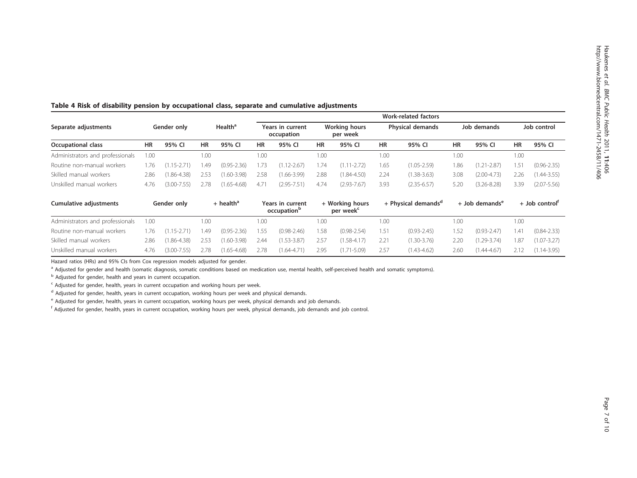#### Work-related factors Separate adjustments Gender only Health<sup>a</sup> Years in current occupation Working hours per week Physical demands Job demands Job control Occupational class HR 95% CI HR 95% CI HR 95% CI HR 95% CI HR 95% CI HR 95% CI HR 95% CI Administrators and professionals 1.00 1.00 1.00 1.00 1.00 1.00 1.00 Routine non-manual workers 1.76 (1.15-2.71) 1.49 (0.95-2.36) 1.73 (1.12-2.67) 1.74 (1.11-2.72) 1.65 (1.05-2.59) 1.86 (1.21-2.87) 1.51 (0.96-2.35) Skilled manual workers 2.86 (1.86-4.38) 2.53 (1.60-3.98) 2.58 (1.66-3.99) 2.88 (1.84-4.50) 2.24 (1.38-3.63) 3.08 (2.00-4.73) 2.26 (1.44-3.55) Unskilled manual workers 4.76 (3.00-7.55) 2.78 (1.65-4.68) 4.71 (2.95-7.51) 4.74 (2.93-7.67) 3.93 (2.35-6.57) 5.20 (3.26-8.28) 3.39 (2.07-5.56)

| <b>Cumulative adjustments</b>    |      | Gender only     |      | $\cdot$ health $^{\rm a}$ |      | Years in current<br>occupation <sup>b</sup> |      | + Working hours<br>per week <sup>c</sup> |               | + Physical demands <sup>d</sup> |      | $+$ Job demands <sup>e</sup> |      | + Job control <sup>'</sup> |
|----------------------------------|------|-----------------|------|---------------------------|------|---------------------------------------------|------|------------------------------------------|---------------|---------------------------------|------|------------------------------|------|----------------------------|
| Administrators and professionals | 1.00 |                 |      |                           | 1.00 |                                             | 1.00 |                                          | 1.00          |                                 | 1.00 |                              | 1.00 |                            |
| Routine non-manual workers       | .76  | $(115-271)$     | l.49 | $(0.95 - 2.36)$           | 1.55 | $(0.98 - 2.46)$                             | 1.58 | $(0.98 - 2.54)$                          | $1.5^{\circ}$ | $(0.93 - 2.45)$                 | 1.52 | $(0.93 - 2.47)$              | 1.41 | $(0.84 - 2.33)$            |
| Skilled manual workers           | 2.86 | $(1.86 - 4.38)$ | 2.53 | (1.60-3.98)               | 2.44 | $(1.53 - 3.87)$                             | 2.57 | $158 - 417$                              | $2.2^{\circ}$ | $(1.30 - 3.76)$                 | 2.20 | $(1.29 - 3.74)$              | 1.87 | $(1.07 - 3.27)$            |
| Unskilled manual workers         | 4.76 | $(3.00 - 7.55)$ | 2.78 | (1.65-4.68)               | 2.78 | $(1.64 - 4.71)$                             | 2.95 | (1.71-5.09)                              | 2.57          | $(1.43 - 4.62)$                 | 2.60 | $1,44 - 4,67$                | 2.12 | $(1.14 - 3.95)$            |

Hazard ratios (HRs) and 95% CIs from Cox regression models adjusted for gender.

<sup>a</sup> Adjusted for gender and health (somatic diagnosis, somatic conditions based on medication use, mental health, self-perceived health and somatic symptoms).

<sup>b</sup> Adjusted for gender, health and years in current occupation.

<sup>c</sup> Adjusted for gender, health, years in current occupation and working hours per week.

<sup>d</sup> Adjusted for gender, health, years in current occupation, working hours per week and physical demands.

e Adjusted for gender, health, years in current occupation, working hours per week, physical demands and job demands.

f Adjusted for gender, health, years in current occupation, working hours per week, physical demands, job demands and job control.

<span id="page-6-0"></span>Table <sup>4</sup> Risk of disability pension by occupational class, separate and cumulative adjustments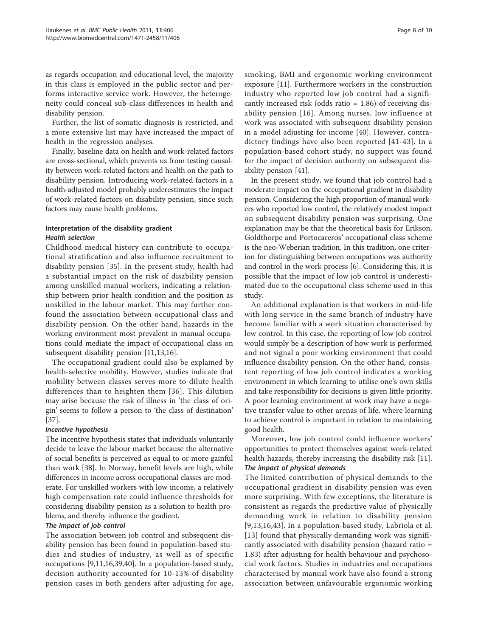as regards occupation and educational level, the majority in this class is employed in the public sector and performs interactive service work. However, the heterogeneity could conceal sub-class differences in health and disability pension.

Further, the list of somatic diagnosis is restricted, and a more extensive list may have increased the impact of health in the regression analyses.

Finally, baseline data on health and work-related factors are cross-sectional, which prevents us from testing causality between work-related factors and health on the path to disability pension. Introducing work-related factors in a health-adjusted model probably underestimates the impact of work-related factors on disability pension, since such factors may cause health problems.

# Interpretation of the disability gradient Health selection

Childhood medical history can contribute to occupational stratification and also influence recruitment to disability pension [[35\]](#page-9-0). In the present study, health had a substantial impact on the risk of disability pension among unskilled manual workers, indicating a relationship between prior health condition and the position as unskilled in the labour market. This may further confound the association between occupational class and disability pension. On the other hand, hazards in the working environment most prevalent in manual occupations could mediate the impact of occupational class on subsequent disability pension [\[11,13,16\]](#page-8-0).

The occupational gradient could also be explained by health-selective mobility. However, studies indicate that mobility between classes serves more to dilute health differences than to heighten them [[36](#page-9-0)]. This dilution may arise because the risk of illness in 'the class of origin' seems to follow a person to 'the class of destination' [[37\]](#page-9-0).

# Incentive hypothesis

The incentive hypothesis states that individuals voluntarily decide to leave the labour market because the alternative of social benefits is perceived as equal to or more gainful than work [\[38](#page-9-0)]. In Norway, benefit levels are high, while differences in income across occupational classes are moderate. For unskilled workers with low income, a relatively high compensation rate could influence thresholds for considering disability pension as a solution to health problems, and thereby influence the gradient.

# The impact of job control

The association between job control and subsequent disability pension has been found in population-based studies and studies of industry, as well as of specific occupations [[9,11,16,](#page-8-0)[39,40\]](#page-9-0). In a population-based study, decision authority accounted for 10-13% of disability pension cases in both genders after adjusting for age, smoking, BMI and ergonomic working environment exposure [\[11](#page-8-0)]. Furthermore workers in the construction industry who reported low job control had a significantly increased risk (odds ratio = 1.86) of receiving disability pension [[16](#page-8-0)]. Among nurses, low influence at work was associated with subsequent disability pension in a model adjusting for income [[40\]](#page-9-0). However, contradictory findings have also been reported [[41-43](#page-9-0)]. In a population-based cohort study, no support was found for the impact of decision authority on subsequent disability pension [[41](#page-9-0)].

In the present study, we found that job control had a moderate impact on the occupational gradient in disability pension. Considering the high proportion of manual workers who reported low control, the relatively modest impact on subsequent disability pension was surprising. One explanation may be that the theoretical basis for Erikson, Goldthorpe and Portocareros' occupational class scheme is the neo-Weberian tradition. In this tradition, one criterion for distinguishing between occupations was authority and control in the work process [[6\]](#page-8-0). Considering this, it is possible that the impact of low job control is underestimated due to the occupational class scheme used in this study.

An additional explanation is that workers in mid-life with long service in the same branch of industry have become familiar with a work situation characterised by low control. In this case, the reporting of low job control would simply be a description of how work is performed and not signal a poor working environment that could influence disability pension. On the other hand, consistent reporting of low job control indicates a working environment in which learning to utilise one's own skills and take responsibility for decisions is given little priority. A poor learning environment at work may have a negative transfer value to other arenas of life, where learning to achieve control is important in relation to maintaining good health.

Moreover, low job control could influence workers' opportunities to protect themselves against work-related health hazards, thereby increasing the disability risk [[11](#page-8-0)]. The impact of physical demands

The limited contribution of physical demands to the occupational gradient in disability pension was even more surprising. With few exceptions, the literature is consistent as regards the predictive value of physically demanding work in relation to disability pension [[9,13](#page-8-0),[16,](#page-8-0)[43](#page-9-0)]. In a population-based study, Labriola et al. [[13](#page-8-0)] found that physically demanding work was significantly associated with disability pension (hazard ratio = 1.83) after adjusting for health behaviour and psychosocial work factors. Studies in industries and occupations characterised by manual work have also found a strong association between unfavourable ergonomic working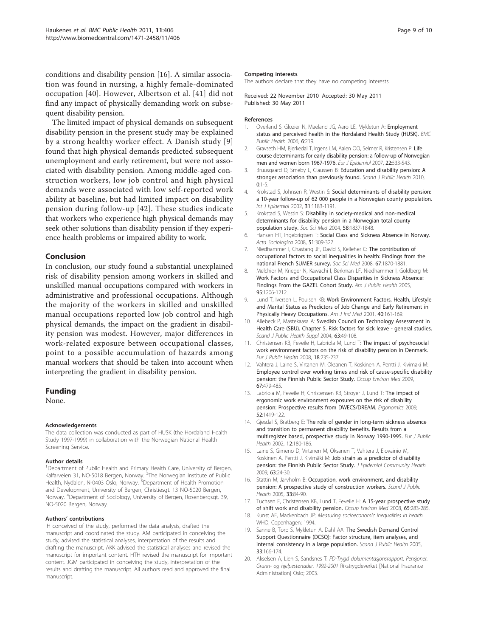<span id="page-8-0"></span>conditions and disability pension [16]. A similar association was found in nursing, a highly female-dominated occupation [[40](#page-9-0)]. However, Albertson et al. [\[41\]](#page-9-0) did not find any impact of physically demanding work on subsequent disability pension.

The limited impact of physical demands on subsequent disability pension in the present study may be explained by a strong healthy worker effect. A Danish study [9] found that high physical demands predicted subsequent unemployment and early retirement, but were not associated with disability pension. Among middle-aged construction workers, low job control and high physical demands were associated with low self-reported work ability at baseline, but had limited impact on disability pension during follow-up [[42\]](#page-9-0). These studies indicate that workers who experience high physical demands may seek other solutions than disability pension if they experience health problems or impaired ability to work.

# Conclusion

In conclusion, our study found a substantial unexplained risk of disability pension among workers in skilled and unskilled manual occupations compared with workers in administrative and professional occupations. Although the majority of the workers in skilled and unskilled manual occupations reported low job control and high physical demands, the impact on the gradient in disability pension was modest. However, major differences in work-related exposure between occupational classes, point to a possible accumulation of hazards among manual workers that should be taken into account when interpreting the gradient in disability pension.

# Funding

None.

#### Acknowledgements

The data collection was conducted as part of HUSK (the Hordaland Health Study 1997-1999) in collaboration with the Norwegian National Health Screening Service.

#### Author details

<sup>1</sup>Department of Public Health and Primary Health Care, University of Bergen, Kalfarveien 31, NO-5018 Bergen, Norway. <sup>2</sup>The Norwegian Institute of Public Health, Nydalen, N-0403 Oslo, Norway. <sup>3</sup>Department of Health Promotion and Development, University of Bergen, Christiesgt. 13 NO-5020 Bergen, Norway. <sup>4</sup> Department of Sociology, University of Bergen, Rosenbergsgt. 39, NO-5020 Bergen, Norway.

#### Authors' contributions

IH conceived of the study, performed the data analysis, drafted the manuscript and coordinated the study. AM participated in conceiving the study, advised the statistical analyses, interpretation of the results and drafting the manuscript. AKK advised the statistical analyses and revised the manuscript for important content. HTH revised the manuscript for important content. JGM participated in conceiving the study, interpretation of the results and drafting the manuscript. All authors read and approved the final manuscript.

#### Competing interests

The authors declare that they have no competing interests.

Received: 22 November 2010 Accepted: 30 May 2011 Published: 30 May 2011

#### References

- 1. Overland S, Glozier N, Maeland JG, Aaro LE, Mykletun A: [Employment](http://www.ncbi.nlm.nih.gov/pubmed/16939642?dopt=Abstract) [status and perceived health in the Hordaland Health Study \(HUSK\).](http://www.ncbi.nlm.nih.gov/pubmed/16939642?dopt=Abstract) BMC Public Health 2006, 6:219.
- 2. Gravseth HM, Bjerkedal T, Irgens LM, Aalen OO, Selmer R, Kristensen P: [Life](http://www.ncbi.nlm.nih.gov/pubmed/17530421?dopt=Abstract) [course determinants for early disability pension: a follow-up of Norwegian](http://www.ncbi.nlm.nih.gov/pubmed/17530421?dopt=Abstract) [men and women born 1967-1976.](http://www.ncbi.nlm.nih.gov/pubmed/17530421?dopt=Abstract) Eur J Epidemiol 2007, 22:533-543.
- 3. Bruusgaard D, Smeby L, Claussen B: Education and disability pension: A stronger association than previously found. Scand J Public Health 2010,  $0:1-5.$
- 4. Krokstad S, Johnsen R, Westin S: [Social determinants of disability pension:](http://www.ncbi.nlm.nih.gov/pubmed/12540720?dopt=Abstract) [a 10-year follow-up of 62 000 people in a Norwegian county population.](http://www.ncbi.nlm.nih.gov/pubmed/12540720?dopt=Abstract) Int J Epidemiol 2002, 31:1183-1191.
- 5. Krokstad S, Westin S: [Disability in society-medical and non-medical](http://www.ncbi.nlm.nih.gov/pubmed/15020001?dopt=Abstract) [determinants for disability pension in a Norwegian total county](http://www.ncbi.nlm.nih.gov/pubmed/15020001?dopt=Abstract) [population study.](http://www.ncbi.nlm.nih.gov/pubmed/15020001?dopt=Abstract) Soc Sci Med 2004, 58:1837-1848.
- 6. Hansen HT, Ingebrigtsen T: Social Class and Sickness Absence in Norway. Acta Sociologica 2008, 51:309-327.
- 7. Niedhammer I, Chastang JF, David S, Kelleher C: [The contribution of](http://www.ncbi.nlm.nih.gov/pubmed/18851892?dopt=Abstract) [occupational factors to social inequalities in health: Findings from the](http://www.ncbi.nlm.nih.gov/pubmed/18851892?dopt=Abstract) [national French SUMER survey.](http://www.ncbi.nlm.nih.gov/pubmed/18851892?dopt=Abstract) Soc Sci Med 2008, 67:1870-1881.
- 8. Melchior M, Krieger N, Kawachi I, Berkman LF, Niedhammer I, Goldberg M: [Work Factors and Occupational Class Disparities in Sickness Absence:](http://www.ncbi.nlm.nih.gov/pubmed/15933236?dopt=Abstract) [Findings From the GAZEL Cohort Study.](http://www.ncbi.nlm.nih.gov/pubmed/15933236?dopt=Abstract) Am J Public Health 2005, 95:1206-1212.
- 9. Lund T, Iversen L, Poulsen KB: [Work Environment Factors, Health, Lifestyle](http://www.ncbi.nlm.nih.gov/pubmed/11494344?dopt=Abstract) [and Marital Status as Predictors of Job Change and Early Retirement in](http://www.ncbi.nlm.nih.gov/pubmed/11494344?dopt=Abstract) [Physically Heavy Occupations.](http://www.ncbi.nlm.nih.gov/pubmed/11494344?dopt=Abstract) Am J Ind Med 2001, 40:161-169.
- 10. Allebeck P, Mastekaasa A: [Swedish Council on Technology Assessment in](http://www.ncbi.nlm.nih.gov/pubmed/15513654?dopt=Abstract) [Health Care \(SBU\). Chapter 5. Risk factors for sick leave - general studies.](http://www.ncbi.nlm.nih.gov/pubmed/15513654?dopt=Abstract) Scand J Public Health Suppl 2004, 63:49-108.
- 11. Christensen KB, Feveile H, Labriola M, Lund T: [The impact of psychosocial](http://www.ncbi.nlm.nih.gov/pubmed/18202086?dopt=Abstract) [work environment factors on the risk of disability pension in Denmark.](http://www.ncbi.nlm.nih.gov/pubmed/18202086?dopt=Abstract) Eur J Public Health 2008, 18:235-237.
- 12. Vahtera J, Laine S, Virtanen M, Oksanen T, Koskinen A, Pentti J, Kivimaki M: [Employee control over working times and risk of cause-specific disability](http://www.ncbi.nlm.nih.gov/pubmed/19914911?dopt=Abstract) [pension: the Finnish Public Sector Study.](http://www.ncbi.nlm.nih.gov/pubmed/19914911?dopt=Abstract) Occup Environ Med 2009, 67:479-485.
- 13. Labriola M, Feveile H, Christensen KB, Stroyer J, Lund T: [The impact of](http://www.ncbi.nlm.nih.gov/pubmed/19851908?dopt=Abstract) [ergonomic work environment exposures on the risk of disability](http://www.ncbi.nlm.nih.gov/pubmed/19851908?dopt=Abstract) [pension: Prospective results from DWECS/DREAM.](http://www.ncbi.nlm.nih.gov/pubmed/19851908?dopt=Abstract) Ergonomics 2009, 52:1419-122.
- 14. Gjesdal S, Bratberg E: [The role of gender in long-term sickness absence](http://www.ncbi.nlm.nih.gov/pubmed/12232956?dopt=Abstract) [and transition to permanent disability benefits. Results from a](http://www.ncbi.nlm.nih.gov/pubmed/12232956?dopt=Abstract) [multiregister based, prospective study in Norway 1990-1995.](http://www.ncbi.nlm.nih.gov/pubmed/12232956?dopt=Abstract) Eur J Public Health 2002, 12:180-186.
- 15. Laine S, Gimeno D, Virtanen M, Oksanen T, Vahtera J, Elovainio M, Koskinen A, Pentti J, Kivimäki M: [Job strain as a predictor of disability](http://www.ncbi.nlm.nih.gov/pubmed/18768568?dopt=Abstract) [pension: the Finnish Public Sector Study.](http://www.ncbi.nlm.nih.gov/pubmed/18768568?dopt=Abstract) J Epidemiol Community Health 2009, 63:24-30.
- 16. Stattin M, Jarvholm B: [Occupation, work environment, and disability](http://www.ncbi.nlm.nih.gov/pubmed/15823968?dopt=Abstract) [pension: A prospective study of construction workers.](http://www.ncbi.nlm.nih.gov/pubmed/15823968?dopt=Abstract) Scand J Public Health 2005, 33:84-90.
- 17. Tuchsen F, Christensen KB, Lund T, Feveile H: [A 15-year prospective study](http://www.ncbi.nlm.nih.gov/pubmed/18198201?dopt=Abstract) [of shift work and disability pension.](http://www.ncbi.nlm.nih.gov/pubmed/18198201?dopt=Abstract) Occup Environ Med 2008, 65:283-285.
- Kunst AE, Mackenbach JP: Measuring socioeconomic inequalities in health WHO, Copenhagen; 1994.
- 19. Sanne B, Torp S, Mykletun A, Dahl AA: [The Swedish Demand Control](http://www.ncbi.nlm.nih.gov/pubmed/16040456?dopt=Abstract) [Support Questionnaire \(DCSQ\): Factor structure, item analyses, and](http://www.ncbi.nlm.nih.gov/pubmed/16040456?dopt=Abstract) [internal consistency in a large population.](http://www.ncbi.nlm.nih.gov/pubmed/16040456?dopt=Abstract) Scand J Public Health 2005, 33:166-174.
- 20. Akselsen A, Lien S, Sandsnes T: FD-Trygd dokumentasjonsrapport. Pensjoner. Grunn- og hjelpestønader. 1992-2001 Rikstrygdeverket [National Insurance Administration] Oslo; 2003.